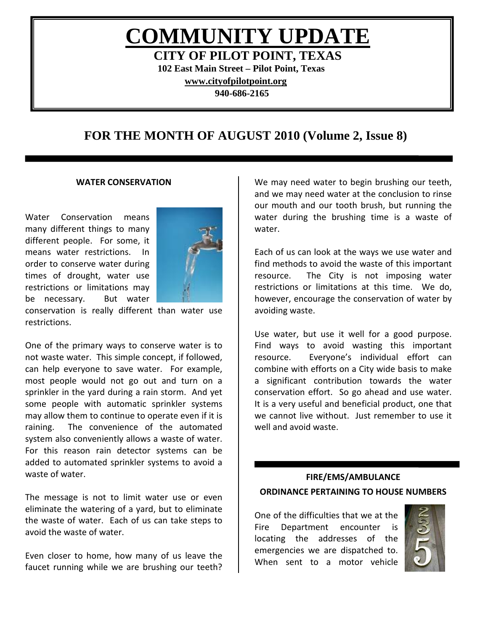# **COMMUNITY UPDATE**

**CITY OF PILOT POINT, TEXAS 102 East Main Street – Pilot Point, Texas [www.cityofpilotpoint.org](http://www.cityofpilotpoint.org/) 940-686-2165**

# **FOR THE MONTH OF AUGUST 2010 (Volume 2, Issue 8)**

#### **WATER CONSERVATION**

Water Conservation means many different things to many different people. For some, it means water restrictions. In order to conserve water during times of drought, water use restrictions or limitations may be necessary. But water



conservation is really different than water use restrictions.

One of the primary ways to conserve water is to not waste water. This simple concept, if followed, can help everyone to save water. For example, most people would not go out and turn on a sprinkler in the yard during a rain storm. And yet some people with automatic sprinkler systems may allow them to continue to operate even if it is raining. The convenience of the automated system also conveniently allows a waste of water. For this reason rain detector systems can be added to automated sprinkler systems to avoid a waste of water.

The message is not to limit water use or even eliminate the watering of a yard, but to eliminate the waste of water. Each of us can take steps to avoid the waste of water.

Even closer to home, how many of us leave the faucet running while we are brushing our teeth?

We may need water to begin brushing our teeth, and we may need water at the conclusion to rinse our mouth and our tooth brush, but running the water during the brushing time is a waste of water.

Each of us can look at the ways we use water and find methods to avoid the waste of this important resource. The City is not imposing water restrictions or limitations at this time. We do, however, encourage the conservation of water by avoiding waste.

Use water, but use it well for a good purpose. Find ways to avoid wasting this important resource. Everyone's individual effort can combine with efforts on a City wide basis to make a significant contribution towards the water conservation effort. So go ahead and use water. It is a very useful and beneficial product, one that we cannot live without. Just remember to use it well and avoid waste.

# **FIRE/EMS/AMBULANCE ORDINANCE PERTAINING TO HOUSE NUMBERS**

One of the difficulties that we at the Fire Department encounter is locating the addresses of the emergencies we are dispatched to. When sent to a motor vehicle

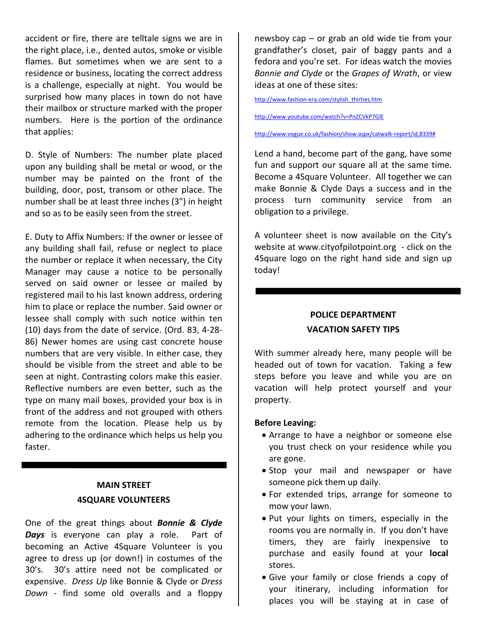accident or fire, there are telltale signs we are in the right place, i.e., dented autos, smoke or visible flames. But sometimes when we are sent to a residence or business, locating the correct address is a challenge, especially at night. You would be surprised how many places in town do not have their mailbox or structure marked with the proper numbers. Here is the portion of the ordinance that applies:

D. Style of Numbers: The number plate placed upon any building shall be metal or wood, or the number may be painted on the front of the building, door, post, transom or other place. The number shall be at least three inches (3") in height and so as to be easily seen from the street.

E. Duty to Affix Numbers: If the owner or lessee of any building shall fail, refuse or neglect to place the number or replace it when necessary, the City Manager may cause a notice to be personally served on said owner or lessee or mailed by registered mail to his last known address, ordering him to place or replace the number. Said owner or lessee shall comply with such notice within ten (10) days from the date of service. (Ord. 83, 4-28- 86) Newer homes are using cast concrete house numbers that are very visible. In either case, they should be visible from the street and able to be seen at night. Contrasting colors make this easier. Reflective numbers are even better, such as the type on many mail boxes, provided your box is in front of the address and not grouped with others remote from the location. Please help us by adhering to the ordinance which helps us help you faster.

# **MAIN STREET 4SQUARE VOLUNTEERS**

One of the great things about *Bonnie & Clyde*  **Days** is everyone can play a role. Part of becoming an Active 4Square Volunteer is you agree to dress up (or down!) in costumes of the 30's. 30's attire need not be complicated or expensive. *Dress Up* like Bonnie & Clyde or *Dress Down* - find some old overalls and a floppy

newsboy cap – or grab an old wide tie from your grandfather's closet, pair of baggy pants and a fedora and you're set. For ideas watch the movies *Bonnie and Clyde* or the *Grapes of Wrath*, or view ideas at one of these sites:

[http://www.fashion-era.com/stylish\\_thirties.htm](http://www.fashion-era.com/stylish_thirties.htm)

<http://www.youtube.com/watch?v=PnZCVkP7GlE>

[http://www.vogue.co.uk/fashion/show.aspx/catwalk-report/id,8339#](http://www.vogue.co.uk/fashion/show.aspx/catwalk-report/id,8339)

Lend a hand, become part of the gang, have some fun and support our square all at the same time. Become a 4Square Volunteer. All together we can make Bonnie & Clyde Days a success and in the process turn community service from an obligation to a privilege.

A volunteer sheet is now available on the City's website at [www.cityofpilotpoint.org](http://www.cityofpilotpoint.org/) - click on the 4Square logo on the right hand side and sign up today!

# **POLICE DEPARTMENT VACATION SAFETY TIPS**

With summer already here, many people will be headed out of town for vacation. Taking a few steps before you leave and while you are on vacation will help protect yourself and your property.

# **Before Leaving:**

- Arrange to have a neighbor or someone else you trust check on your residence while you are gone.
- Stop your mail and newspaper or have someone pick them up daily.
- For extended trips, arrange for someone to mow your lawn.
- Put your lights on timers, especially in the rooms you are normally in. If you don't have timers, they are fairly inexpensive to purchase and easily found at your **local**  stores.
- Give your family or close friends a copy of your itinerary, including information for places you will be staying at in case of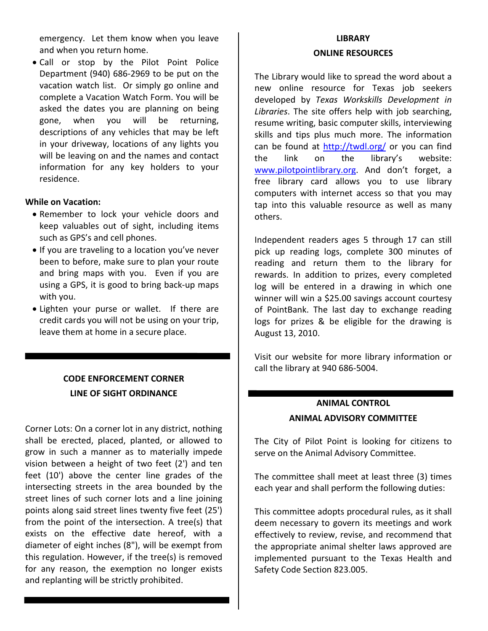emergency. Let them know when you leave and when you return home.

• Call or stop by the Pilot Point Police Department (940) 686-2969 to be put on the vacation watch list. Or simply go online and complete a Vacation Watch Form. You will be asked the dates you are planning on being gone, when you will be returning, descriptions of any vehicles that may be left in your driveway, locations of any lights you will be leaving on and the names and contact information for any key holders to your residence.

# **While on Vacation:**

- Remember to lock your vehicle doors and keep valuables out of sight, including items such as GPS's and cell phones.
- If you are traveling to a location you've never been to before, make sure to plan your route and bring maps with you. Even if you are using a GPS, it is good to bring back-up maps with you.
- Lighten your purse or wallet. If there are credit cards you will not be using on your trip, leave them at home in a secure place.

# **CODE ENFORCEMENT CORNER LINE OF SIGHT ORDINANCE**

Corner Lots: On a corner lot in any district, nothing shall be erected, placed, planted, or allowed to grow in such a manner as to materially impede vision between a height of two feet (2') and ten feet (10') above the center line grades of the intersecting streets in the area bounded by the street lines of such corner lots and a line joining points along said street lines twenty five feet (25') from the point of the intersection. A tree(s) that exists on the effective date hereof, with a diameter of eight inches (8"), will be exempt from this regulation. However, if the tree(s) is removed for any reason, the exemption no longer exists and replanting will be strictly prohibited.

# **LIBRARY ONLINE RESOURCES**

The Library would like to spread the word about a new online resource for Texas job seekers developed by *Texas Workskills Development in Libraries*. The site offers help with job searching, resume writing, basic computer skills, interviewing skills and tips plus much more. The information can be found at<http://twdl.org/> or you can find the link on the library's website: [www.pilotpointlibrary.org.](http://www.pilotpointlibrary.org/) And don't forget, a free library card allows you to use library computers with internet access so that you may tap into this valuable resource as well as many others.

Independent readers ages 5 through 17 can still pick up reading logs, complete 300 minutes of reading and return them to the library for rewards. In addition to prizes, every completed log will be entered in a drawing in which one winner will win a \$25.00 savings account courtesy of PointBank. The last day to exchange reading logs for prizes & be eligible for the drawing is August 13, 2010.

Visit our website for more library information or call the library at 940 686-5004.

# **ANIMAL CONTROL ANIMAL ADVISORY COMMITTEE**

The City of Pilot Point is looking for citizens to serve on the Animal Advisory Committee.

The committee shall meet at least three (3) times each year and shall perform the following duties:

This committee adopts procedural rules, as it shall deem necessary to govern its meetings and work effectively to review, revise, and recommend that the appropriate animal shelter laws approved are implemented pursuant to the Texas Health and Safety Code Section 823.005.